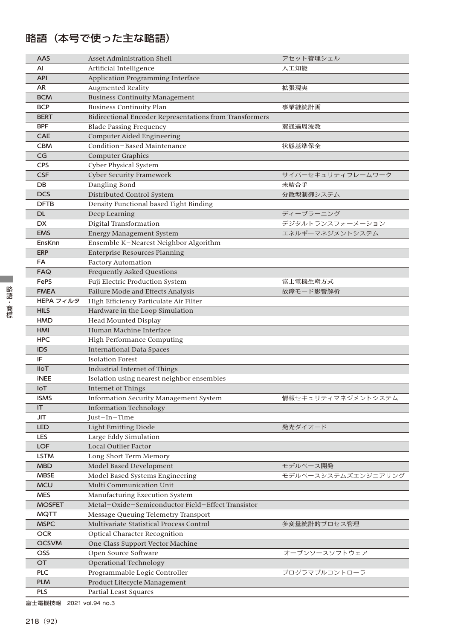## 略語(本号で使った主な略語)

| AAS           | Asset Administration Shell                              | アセット管理シェル           |
|---------------|---------------------------------------------------------|---------------------|
| AI            | Artificial Intelligence                                 | 人工知能                |
| <b>API</b>    | Application Programming Interface                       |                     |
| AR            | <b>Augmented Reality</b>                                | 拡張現実                |
| <b>BCM</b>    | <b>Business Continuity Management</b>                   |                     |
| <b>BCP</b>    | <b>Business Continuity Plan</b>                         | 事業継続計画              |
| <b>BERT</b>   | Bidirectional Encoder Representations from Transformers |                     |
| <b>BPF</b>    | <b>Blade Passing Frequency</b>                          | 翼通過周波数              |
| CAE           | Computer Aided Engineering                              |                     |
| <b>CBM</b>    | Condition-Based Maintenance                             | 状態基準保全              |
| CG            | <b>Computer Graphics</b>                                |                     |
| <b>CPS</b>    | Cyber Physical System                                   |                     |
| <b>CSF</b>    | <b>Cyber Security Framework</b>                         | サイバーセキュリティフレームワーク   |
| DB            | Dangling Bond                                           | 未結合手                |
| <b>DCS</b>    | Distributed Control System                              | 分散型制御システム           |
| <b>DFTB</b>   | Density Functional based Tight Binding                  |                     |
| DL.           | Deep Learning                                           | ディープラーニング           |
| <b>DX</b>     | Digital Transformation                                  | デジタルトランスフォーメーション    |
| <b>EMS</b>    | <b>Energy Management System</b>                         | エネルギーマネジメントシステム     |
| EnsKnn        | Ensemble K-Nearest Neighbor Algorithm                   |                     |
| <b>ERP</b>    | <b>Enterprise Resources Planning</b>                    |                     |
| FA            | <b>Factory Automation</b>                               |                     |
| <b>FAQ</b>    | <b>Frequently Asked Questions</b>                       |                     |
| FePS          | Fuji Electric Production System                         | 富士電機生産方式            |
| <b>FMEA</b>   | Failure Mode and Effects Analysis                       | 故障モード影響解析           |
| HEPA フィルタ     | High Efficiency Particulate Air Filter                  |                     |
| <b>HILS</b>   | Hardware in the Loop Simulation                         |                     |
| <b>HMD</b>    | Head Mounted Display                                    |                     |
| <b>HMI</b>    | Human Machine Interface                                 |                     |
| HPC           | High Performance Computing                              |                     |
| <b>IDS</b>    | <b>International Data Spaces</b>                        |                     |
| IF            | <b>Isolation Forest</b>                                 |                     |
| <b>IIoT</b>   | Industrial Internet of Things                           |                     |
| <b>iNEE</b>   | Isolation using nearest neighbor ensembles              |                     |
| <b>IoT</b>    | Internet of Things                                      |                     |
| <b>ISMS</b>   | <b>Information Security Management System</b>           | 情報セキュリティマネジメントシステム  |
| IT            | <b>Information Technology</b>                           |                     |
| JIT           | Just-In-Time                                            |                     |
| <b>LED</b>    | <b>Light Emitting Diode</b>                             | 発光ダイオード             |
| <b>LES</b>    | Large Eddy Simulation                                   |                     |
| <b>LOF</b>    | Local Outlier Factor                                    |                     |
| LSTM          | Long Short Term Memory                                  |                     |
| <b>MBD</b>    | Model Based Development                                 | モデルベース開発            |
| <b>MBSE</b>   | Model Based Systems Engineering                         | モデルベースシステムズエンジニアリング |
| <b>MCU</b>    | Multi Communication Unit                                |                     |
| <b>MES</b>    | Manufacturing Execution System                          |                     |
| <b>MOSFET</b> | Metal-Oxide-Semiconductor Field-Effect Transistor       |                     |
| <b>MQTT</b>   | Message Queuing Telemetry Transport                     |                     |
| <b>MSPC</b>   | Multivariate Statistical Process Control                | 多変量統計的プロセス管理        |
| <b>OCR</b>    | Optical Character Recognition                           |                     |
| <b>OCSVM</b>  | One Class Support Vector Machine                        |                     |
| <b>OSS</b>    | Open Source Software                                    | オープンソースソフトウェア       |
| <b>OT</b>     | Operational Technology                                  |                     |
| <b>PLC</b>    | Programmable Logic Controller                           | プログラマブルコントローラ       |
| <b>PLM</b>    | Product Lifecycle Management                            |                     |
| <b>PLS</b>    | Partial Least Squares                                   |                     |

富士電機技報 2021 vol.94 no.3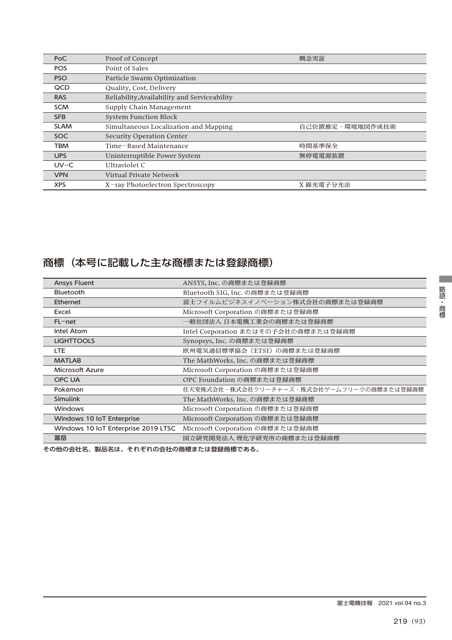| PoC         | Proof of Concept                             | 概念実証            |
|-------------|----------------------------------------------|-----------------|
| <b>POS</b>  | Point of Sales                               |                 |
| <b>PSO</b>  | Particle Swarm Optimization                  |                 |
| QCD         | Quality, Cost, Delivery                      |                 |
| <b>RAS</b>  | Reliability, Availability and Serviceability |                 |
| <b>SCM</b>  | Supply Chain Management                      |                 |
| <b>SFB</b>  | <b>System Function Block</b>                 |                 |
| <b>SLAM</b> | Simultaneous Localization and Mapping        | 自己位置推定・環境地図作成技術 |
| <b>SOC</b>  | Security Operation Center                    |                 |
| <b>TBM</b>  | Time-Based Maintenance                       | 時間基準保全          |
| <b>UPS</b>  | Uninterruptible Power System                 | 無停電電源装置         |
| $UV-C$      | Ultraviolet C                                |                 |
| <b>VPN</b>  | Virtual Private Network                      |                 |
| <b>XPS</b>  | X-ray Photoelectron Spectroscopy             | X 線光電子分光法       |

## 商標(本号に記載した主な商標または登録商標)

| <b>Ansys Fluent</b>                 | ANSYS, Inc. の商標または登録商標                    |
|-------------------------------------|-------------------------------------------|
| <b>Bluetooth</b>                    | Bluetooth SIG, Inc. の商標または登録商標            |
| <b>Ethernet</b>                     | 富士フイルムビジネスイノベーション株式会社の商標または登録商標           |
| Excel                               | Microsoft Corporation の商標または登録商標          |
| $FL$ – net                          | 一般社団法人 日本電機工業会の商標または登録商標                  |
| Intel Atom                          | Intel Corporation またはその子会社の商標または登録商標      |
| <b>LIGHTTOOLS</b>                   | Synopsys, Inc. の商標または登録商標                 |
| LTE.                                | 欧州電気通信標準協会 (ETSI) の商標または登録商標              |
| <b>MATLAB</b>                       | The MathWorks, Inc. の商標または登録商標            |
| <b>Microsoft Azure</b>              | Microsoft Corporation の商標または登録商標          |
| <b>OPC UA</b>                       | OPC Foundation の商標または登録商標                 |
| Pokémon                             | 任天堂株式会社・株式会社クリーチャーズ・株式会社ゲームフリークの商標または登録商標 |
| <b>Simulink</b>                     | The MathWorks, Inc. の商標または登録商標            |
| <b>Windows</b>                      | Microsoft Corporation の商標または登録商標          |
| Windows 10 IoT Enterprise           | Microsoft Corporation の商標または登録商標          |
| Windows 10 IoT Enterprise 2019 LTSC | Microsoft Corporation の商標または登録商標          |
| 富岳                                  | 国立研究開発法人 理化学研究所の商標または登録商標                 |

その他の会社名、製品名は、それぞれの会社の商標または登録商標である。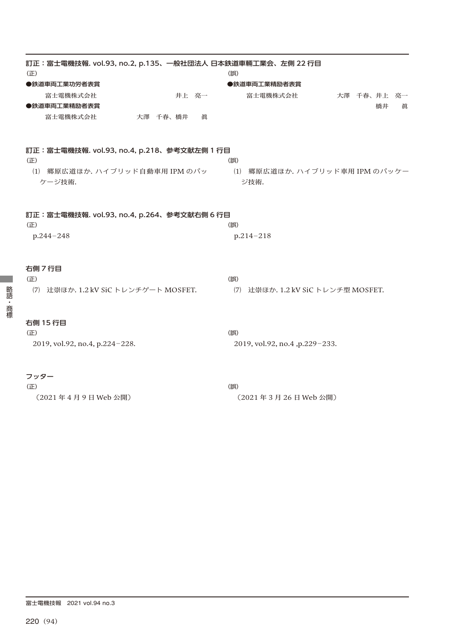| 訂正:富士電機技報. vol.93, no.2, p.135、一般社団法人 日本鉄道車輛工業会、左側 22 行目<br>(E) |       | (誤)          |                                    |             |    |   |
|-----------------------------------------------------------------|-------|--------------|------------------------------------|-------------|----|---|
| ●鉄道車両工業功労者表賞                                                    |       | ●鉄道車両工業精励者表賞 |                                    |             |    |   |
| 富士電機株式会社                                                        | 井上 亮一 | 富士電機株式会社     |                                    | 大澤 千春、井上 亮一 |    |   |
| ●鉄道車両工業精励者表賞                                                    |       |              |                                    |             | 橋井 | 眞 |
| 富士電機株式会社<br>大澤千春、橋井                                             | 眞     |              |                                    |             |    |   |
| 訂正: 富士電機技報. vol.93, no.4, p.218、参考文献左側 1 行目                     |       |              |                                    |             |    |   |
| (E)                                                             |       | (誤)          |                                    |             |    |   |
| (1) 郷原広道ほか. ハイブリッド自動車用 IPM のパッ<br>ケージ技術.                        |       | ジ技術.         | (1) 郷原広道ほか. ハイブリッド車用 IPM のパッケー     |             |    |   |
| 訂正:富士電機技報. vol.93, no.4, p.264、参考文献右側 6 行目<br>(E)               |       | (誤)          |                                    |             |    |   |
| p.244-248                                                       |       | p.214-218    |                                    |             |    |   |
| 右側 7 行目                                                         |       |              |                                    |             |    |   |
| (E)<br>辻崇ほか. 1.2 kV SiC トレンチゲート MOSFET.<br>(7)                  |       | (誤)          |                                    |             |    |   |
|                                                                 |       |              | (7) 辻崇ほか. 1.2 kV SiC トレンチ型 MOSFET. |             |    |   |
| 右側 15 行目                                                        |       |              |                                    |             |    |   |
| (E)                                                             |       | (誤)          |                                    |             |    |   |
| 2019, vol.92, no.4, p.224-228.                                  |       |              | 2019, vol.92, no.4, p.229-233.     |             |    |   |
| フッター                                                            |       |              |                                    |             |    |   |
| (正)                                                             |       | (誤)          |                                    |             |    |   |
| (2021年4月9日Web公開)                                                |       |              | (2021年3月26日 Web公開)                 |             |    |   |